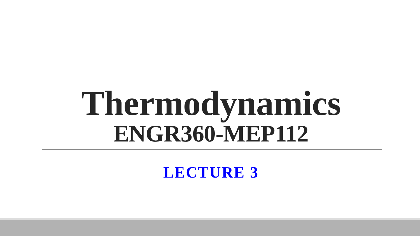# **Thermodynamics ENGR360-MEP112**

**LECTURE 3**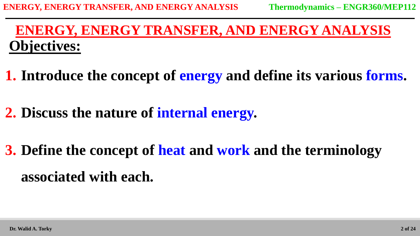# **Objectives: ENERGY, ENERGY TRANSFER, AND ENERGY ANALYSIS**

- **1. Introduce the concept of energy and define its various forms.**
- **2. Discuss the nature of internal energy.**
- **3. Define the concept of heat and work and the terminology associated with each.**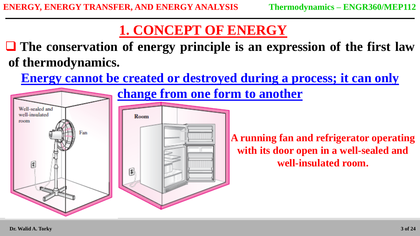# **1. CONCEPT OF ENERGY**

 **The conservation of energy principle is an expression of the first law of thermodynamics.**

**Energy cannot be created or destroyed during a process; it can only** 

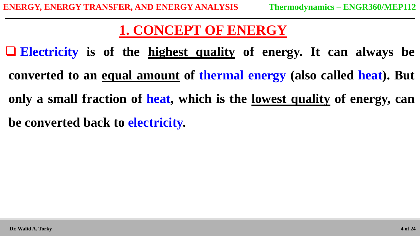# **1. CONCEPT OF ENERGY**

 **Electricity is of the highest quality of energy. It can always be converted to an equal amount of thermal energy (also called heat). But only a small fraction of heat, which is the lowest quality of energy, can be converted back to electricity.**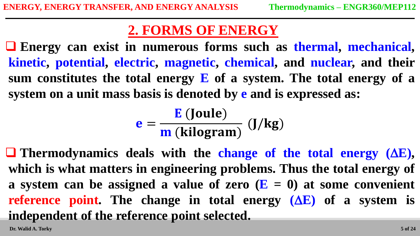**Energy can exist in numerous forms such as thermal, mechanical, kinetic, potential, electric, magnetic, chemical, and nuclear, and their sum constitutes the total energy E of a system. The total energy of a system on a unit mass basis is denoted by e and is expressed as:**

$$
e = \frac{E \text{ (Joule)}}{m \text{ (kilogram)}} \text{ (J/kg)}
$$

 **Thermodynamics deals with the change of the total energy (E), which is what matters in engineering problems. Thus the total energy of a system can be assigned a value of zero (E = 0) at some convenient reference point.** The change in total energy  $(AE)$  of a system is **independent of the reference point selected.**

**Dr. Walid A. Torky**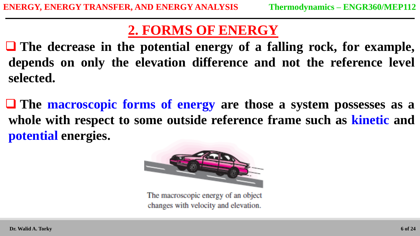**The decrease in the potential energy of a falling rock, for example, depends on only the elevation difference and not the reference level selected.**

 **The macroscopic forms of energy are those a system possesses as a whole with respect to some outside reference frame such as kinetic and potential energies.**



The macroscopic energy of an object changes with velocity and elevation.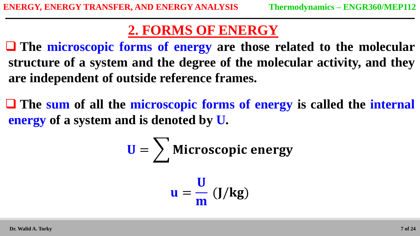**The microscopic forms of energy are those related to the molecular structure of a system and the degree of the molecular activity, and they are independent of outside reference frames.**

 **The sum of all the microscopic forms of energy is called the internal energy of a system and is denoted by U.**

$$
U = \sum_{u} \text{Microsoft energy}
$$

$$
u = \frac{U}{m} (J/kg)
$$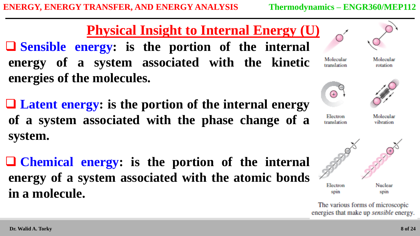**Physical Insight to Internal Energy (U) Sensible energy: is the portion of the internal energy of a system associated with the kinetic energies of the molecules.**

 **Latent energy: is the portion of the internal energy of a system associated with the phase change of a system.**

 **Chemical energy: is the portion of the internal energy of a system associated with the atomic bonds in a molecule.**



Molecular translation

Molecular rotation



**Electron** 



translation

Molecular vibration



The various forms of microscopic energies that make up *sensible* energy.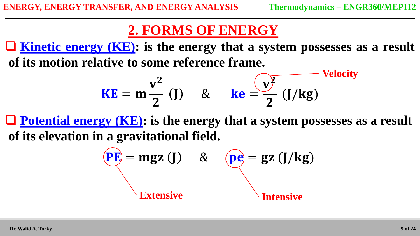**Kinetic energy (KE): is the energy that a system possesses as a result of its motion relative to some reference frame.**

$$
KE = m\frac{v^2}{2} (J) \quad \& \quad ke = \frac{\sqrt{y^2}}{2} (J/kg)
$$

 **Potential energy (KE): is the energy that a system possesses as a result of its elevation in a gravitational field.**

$$
\begin{aligned}\n\mathbf{PE} &= \mathbf{mgz} \quad \mathbf{(J)} \qquad \&\qquad \mathbf{Qe} = \mathbf{gz} \quad \mathbf{(J/kg)} \\
\mathbf{Extensive} &\qquad \qquad \mathbf{Intensive}\n\end{aligned}
$$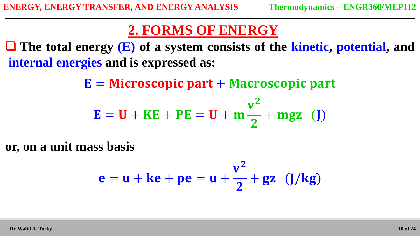**The total energy (E) of a system consists of the kinetic, potential, and internal energies and is expressed as:**

 $\mathbf{E} =$  Microscopic part + Macroscopic part

$$
E = U + KE + PE = U + m\frac{v^2}{2} + mgz
$$
 (J)

**or, on a unit mass basis**

$$
e = u + ke + pe = u + \frac{v^2}{2} + gz \quad (J/kg)
$$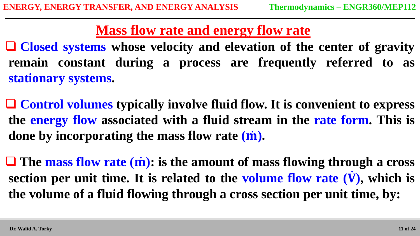**Mass flow rate and energy flow rate**

 **Closed systems whose velocity and elevation of the center of gravity remain constant during a process are frequently referred to as stationary systems.**

 **Control volumes typically involve fluid flow. It is convenient to express the energy flow associated with a fluid stream in the rate form. This is done by incorporating the mass flow rate ( ).**

 **The mass flow rate ( ): is the amount of mass flowing through a cross section per unit time. It is related to the volume flow rate ( ), which is the volume of a fluid flowing through a cross section per unit time, by:**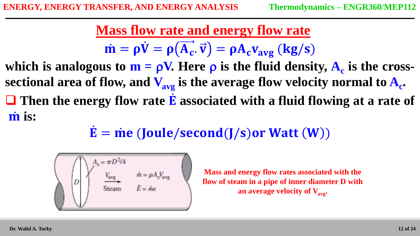**Mass flow rate and energy flow rate**  $\dot{\mathbf{m}} = \rho \dot{\mathbf{V}} = \rho (\overrightarrow{\mathbf{A_c}} \cdot \overrightarrow{\mathbf{v}}) = \rho \mathbf{A_c} \mathbf{v}_{\text{avg}}$  (kg/s)

**which** is analogous to  $m = \rho V$ . Here  $\rho$  is the fluid density,  $A_c$  is the cross**sectional area of flow, and Vavg is the average flow velocity normal to A<sup>c</sup> . Then the energy flow rate associated with a fluid flowing at a rate of in** is:

 $\dot{\mathbf{E}} = \dot{\mathbf{m}} \mathbf{e}$  (Joule/second(J/s) or Watt (W))



**Mass and energy flow rates associated with the flow of steam in a pipe of inner diameter D with an average velocity of Vavg.**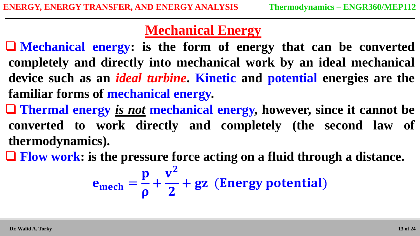**Mechanical energy: is the form of energy that can be converted completely and directly into mechanical work by an ideal mechanical device such as an** *ideal turbine***. Kinetic and potential energies are the familiar forms of mechanical energy.**

 **Thermal energy** *is not* **mechanical energy, however, since it cannot be converted to work directly and completely (the second law of thermodynamics).**

**Flow work: is the pressure force acting on a fluid through a distance.**

$$
e_{\text{mech}} = \frac{p}{\rho} + \frac{v^2}{2} + gz
$$
 (Energy potential)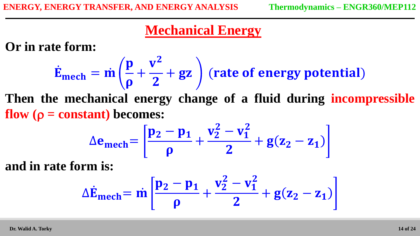**Or in rate form:**

$$
\dot{E}_{mech} = \dot{m} \left( \frac{p}{\rho} + \frac{v^2}{2} + gz \right)
$$
 (rate of energy potential)

**Then the mechanical energy change of a fluid during incompressible flow**  $(\rho = constant)$  **becomes:** 

$$
\Delta e_{mech} = \left[\frac{p_2 - p_1}{\rho} + \frac{v_2^2 - v_1^2}{2} + g(z_2 - z_1)\right]
$$

**and in rate form is:**

$$
\Delta \dot{E}_{mech} = \dot{m} \left[ \frac{p_2 - p_1}{\rho} + \frac{v_2^2 - v_1^2}{2} + g(z_2 - z_1) \right]
$$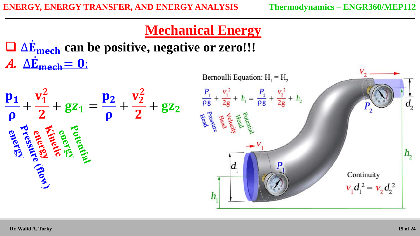∆ **can be positive, negative or zero!!!** A.  $\Delta \dot{\mathbf{E}}_{\text{mech}} = \mathbf{0}$ :



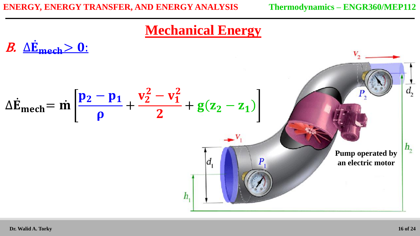$$
\Delta \dot{E}_{\text{mech}} = \dot{m} \left[ \frac{p_2 - p_1}{\rho} + \frac{v_2^2 - v_1^2}{2} + g(z_2 - z_1) \right]
$$
\n
$$
h_1 \left[ \frac{a_1}{\rho} \right]
$$
\nPlump operated by an electric motor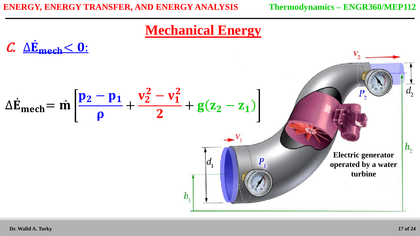$$
\Delta \dot{E}_{\text{mech}} = \dot{m} \left[ \frac{p_2 - p_1}{\rho} + \frac{v_2^2 - v_1^2}{2} + g(z_2 - z_1) \right]
$$
\n
$$
h_1 \left[ \frac{a_1}{\rho} \right]
$$
\n
$$
h_2
$$
\n
$$
h_3
$$
\n
$$
h_4
$$
\n
$$
h_5
$$
\n
$$
h_6
$$
\n
$$
h_7
$$
\n
$$
h_8
$$
\n
$$
h_9
$$
\n
$$
h_1
$$
\n
$$
h_2
$$
\n
$$
h_3
$$
\n
$$
h_1
$$
\n
$$
h_2
$$
\n
$$
h_3
$$
\n
$$
h_4
$$
\n
$$
h_5
$$
\n
$$
h_6
$$
\n
$$
h_7
$$
\n
$$
h_8
$$
\n
$$
h_9
$$
\n
$$
h_1
$$
\n
$$
h_2
$$
\n
$$
h_3
$$
\n
$$
h_4
$$
\n
$$
h_5
$$
\n
$$
h_7
$$
\n
$$
h_8
$$
\n
$$
h_9
$$
\n
$$
h_1
$$
\n
$$
h_2
$$
\n
$$
h_3
$$
\n
$$
h_5
$$
\n
$$
h_7
$$
\n
$$
h_8
$$
\n
$$
h_9
$$
\n
$$
h_9
$$
\n
$$
h_9
$$
\n
$$
h_9
$$
\n
$$
h_9
$$
\n
$$
h_9
$$
\n
$$
h_9
$$
\n
$$
h_9
$$
\n
$$
h_9
$$
\n
$$
h_9
$$
\n
$$
h_9
$$
\n
$$
h_9
$$
\n
$$
h_9
$$
\n
$$
h_9
$$
\n
$$
h_9
$$
\n
$$
h_9
$$
\n
$$
h_9
$$
\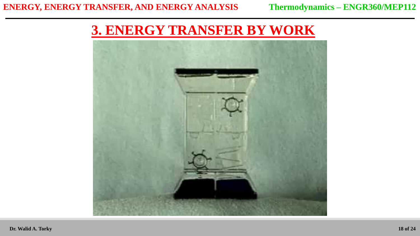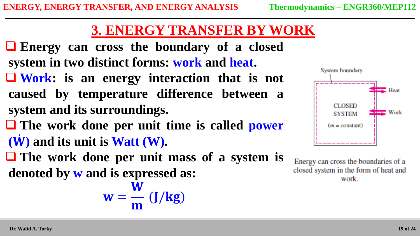- **Energy can cross the boundary of a closed system in two distinct forms: work and heat.**
- **Work: is an energy interaction that is not caused by temperature difference between a system and its surroundings.**
- **The work done per unit time is called power ( ) and its unit is Watt (W).**
- **The work done per unit mass of a system is denoted by w and is expressed as:**

$$
w = \frac{\overline{W}}{m} (J/kg)
$$



Energy can cross the boundaries of a closed system in the form of heat and work.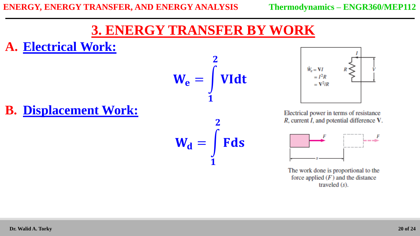### **A. Electrical Work:**



 $W_d =$ 

 $\mathbf{1}$ 

 $\overline{\mathbf{2}}$ 

Fds



Electrical power in terms of resistance  $R$ , current  $I$ , and potential difference  $V$ .



The work done is proportional to the force applied  $(F)$  and the distance traveled  $(s)$ .

# **B. Displacement Work:**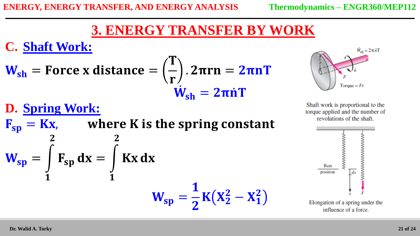**C. Shaft Work:**

**D. Spring Work:**

 $\overline{2}$ 

 $F_{sp} dx =$ 

 $\mathbf{1}$ 

 $\overline{\mathbf{2}}$ 

$$
W_{sh}
$$
 = Force x distance =  $\left(\frac{T}{r}\right)$ . 2 $\pi$ rn = 2 $\pi$ nT  
 $\dot{W}_{sh}$  = 2 $\pi$ nT

 $F_{sp} = Kx$ , where K is the spring constant

**Kx** dx

 $W_{sp} =$ 

 $\mathbf{1}$ 

 $\overline{\mathbf{2}}$ 

 $K(X_2^2-X_1^2)$ 



Shaft work is proportional to the torque applied and the number of revolutions of the shaft.



 $\mathbf{1}$ 

 $W_{sp} =$ 

#### **21 of 24**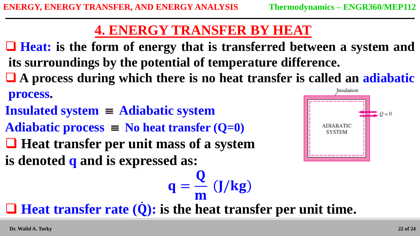# **4. ENERGY TRANSFER BY HEAT**

- **Heat: is the form of energy that is transferred between a system and its surroundings by the potential of temperature difference.**
- **A process during which there is no heat transfer is called an adiabatic**

#### **process.**

- **Insulated system Adiabatic system**
- Adiabatic process  $\equiv$  No heat transfer  $(Q=0)$
- **Heat transfer per unit mass of a system**
- **is denoted q and is expressed as:**



m **Heat transfer rate ( ): is the heat transfer per unit time.**

 $q =$ 

Q

J/kg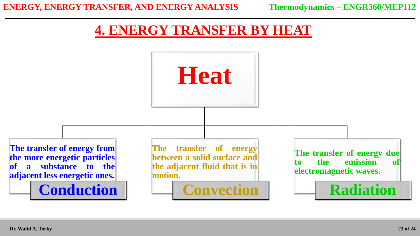# **4. ENERGY TRANSFER BY HEAT**